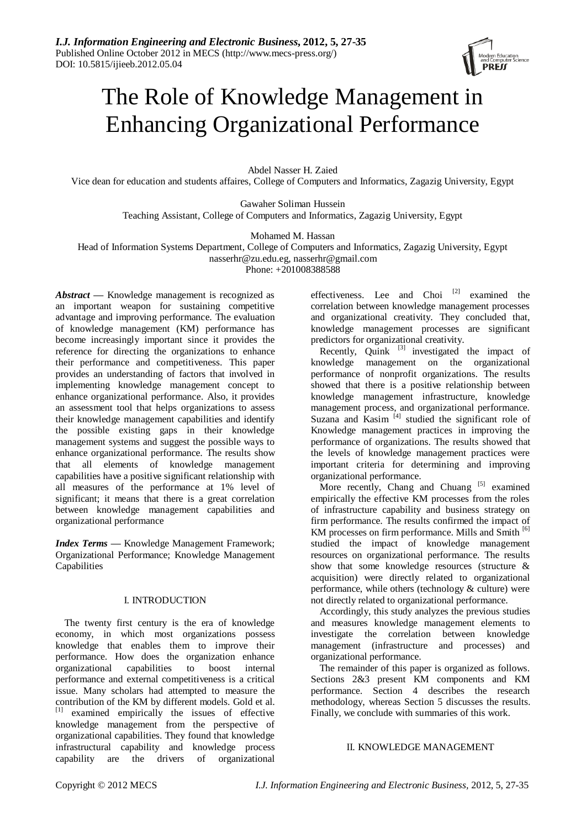

# The Role of Knowledge Management in Enhancing Organizational Performance

Abdel Nasser H. Zaied Vice dean for education and students affaires, College of Computers and Informatics, Zagazig University, Egypt

> Gawaher Soliman Hussein Teaching Assistant, College of Computers and Informatics, Zagazig University, Egypt

> > Mohamed M. Hassan

Head of Information Systems Department, College of Computers and Informatics, Zagazig University, Egypt nasserhr@zu.edu.eg, nasserhr@gmail.com

Phone: +201008388588

*Abstract —* Knowledge management is recognized as an important weapon for sustaining competitive advantage and improving performance. The evaluation of knowledge management (KM) performance has become increasingly important since it provides the reference for directing the organizations to enhance their performance and competitiveness. This paper provides an understanding of factors that involved in implementing knowledge management concept to enhance organizational performance. Also, it provides an assessment tool that helps organizations to assess their knowledge management capabilities and identify the possible existing gaps in their knowledge management systems and suggest the possible ways to enhance organizational performance. The results show that all elements of knowledge management capabilities have a positive significant relationship with all measures of the performance at 1% level of significant; it means that there is a great correlation between knowledge management capabilities and organizational performance

*Index Terms —* Knowledge Management Framework; Organizational Performance; Knowledge Management Capabilities

# I. INTRODUCTION

The twenty first century is the era of knowledge economy, in which most organizations possess knowledge that enables them to improve their performance. How does the organization enhance organizational capabilities to boost internal performance and external competitiveness is a critical issue. Many scholars had attempted to measure the contribution of the KM by different models. Gold et al.  $\begin{bmatrix} 11 \\ 11 \end{bmatrix}$  examined empirically the issues of effective knowledge management from the perspective of organizational capabilities. They found that knowledge infrastructural capability and knowledge process capability are the drivers of organizational effectiveness. Lee and Choi<sup>[2]</sup> examined the correlation between knowledge management processes and organizational creativity. They concluded that, knowledge management processes are significant predictors for organizational creativity.

Recently, Quink  $[3]$  investigated the impact of knowledge management on the organizational performance of nonprofit organizations. The results showed that there is a positive relationship between knowledge management infrastructure, knowledge management process, and organizational performance. Suzana and Kasim $\begin{bmatrix} 4 \end{bmatrix}$  studied the significant role of Knowledge management practices in improving the performance of organizations. The results showed that the levels of knowledge management practices were important criteria for determining and improving organizational performance.

More recently, Chang and Chuang [5] examined empirically the effective KM processes from the roles of infrastructure capability and business strategy on firm performance. The results confirmed the impact of KM processes on firm performance. Mills and Smith [6] studied the impact of knowledge management resources on organizational performance. The results show that some knowledge resources (structure & acquisition) were directly related to organizational performance, while others (technology  $&$  culture) were not directly related to organizational performance.

Accordingly, this study analyzes the previous studies and measures knowledge management elements to investigate the correlation between knowledge management (infrastructure and processes) and organizational performance.

The remainder of this paper is organized as follows. Sections 2&3 present KM components and KM performance. Section 4 describes the research methodology, whereas Section 5 discusses the results. Finally, we conclude with summaries of this work.

# II. KNOWLEDGE MANAGEMENT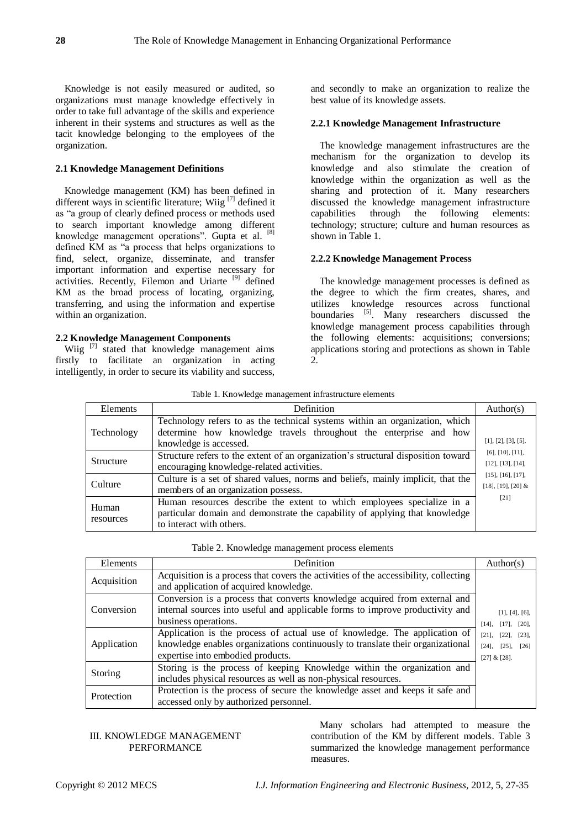Knowledge is not easily measured or audited, so organizations must manage knowledge effectively in order to take full advantage of the skills and experience inherent in their systems and structures as well as the tacit knowledge belonging to the employees of the organization.

## **2.1 Knowledge Management Definitions**

Knowledge management (KM) has been defined in different ways in scientific literature; Wiig<sup>[7]</sup> defined it as "a group of clearly defined process or methods used to search important knowledge among different knowledge management operations". Gupta et al. [8] defined KM as "a process that helps organizations to find, select, organize, disseminate, and transfer important information and expertise necessary for activities. Recently, Filemon and Uriarte [9] defined KM as the broad process of locating, organizing, transferring, and using the information and expertise within an organization.

# **2.2 Knowledge Management Components**

Wiig<sup>[7]</sup> stated that knowledge management aims firstly to facilitate an organization in acting intelligently, in order to secure its viability and success,

and secondly to make an organization to realize the best value of its knowledge assets.

# **2.2.1 Knowledge Management Infrastructure**

The knowledge management infrastructures are the mechanism for the organization to develop its knowledge and also stimulate the creation of knowledge within the organization as well as the sharing and protection of it. Many researchers discussed the knowledge management infrastructure capabilities through the following elements: technology; structure; culture and human resources as shown in Table 1.

#### **2.2.2 Knowledge Management Process**

The knowledge management processes is defined as the degree to which the firm creates, shares, and utilizes knowledge resources across functional boundaries <sup>[5]</sup>. Many researchers discussed the knowledge management process capabilities through the following elements: acquisitions; conversions; applications storing and protections as shown in Table  $2<sup>2</sup>$ 

Table 1. Knowledge management infrastructure elements

| Elements   | Definition                                                                        | Author(s)                                       |
|------------|-----------------------------------------------------------------------------------|-------------------------------------------------|
|            | Technology refers to as the technical systems within an organization, which       |                                                 |
| Technology | determine how knowledge travels throughout the enterprise and how                 |                                                 |
|            | knowledge is accessed.                                                            | [1], [2], [3], [5],                             |
|            | Structure refers to the extent of an organization's structural disposition toward | $[6]$ , $[10]$ , $[11]$ ,                       |
| Structure  | encouraging knowledge-related activities.                                         |                                                 |
|            | Culture is a set of shared values, norms and beliefs, mainly implicit, that the   | [15], [16], [17],<br>$[18]$ , $[19]$ , $[20]$ & |
| Culture    | members of an organization possess.                                               |                                                 |
|            | Human resources describe the extent to which employees specialize in a            | [21]                                            |
| Human      | particular domain and demonstrate the capability of applying that knowledge       |                                                 |
| resources  | to interact with others.                                                          |                                                 |

|  | Table 2. Knowledge management process elements |  |
|--|------------------------------------------------|--|
|  |                                                |  |

| Elements    | Definition                                                                           | Author(s)                  |
|-------------|--------------------------------------------------------------------------------------|----------------------------|
| Acquisition | Acquisition is a process that covers the activities of the accessibility, collecting |                            |
|             | and application of acquired knowledge.                                               |                            |
|             | Conversion is a process that converts knowledge acquired from external and           |                            |
| Conversion  | internal sources into useful and applicable forms to improve productivity and        | [1], [4], [6],             |
|             | business operations.                                                                 | $[14]$ , $[17]$ , $[20]$ , |
|             | Application is the process of actual use of knowledge. The application of            | $[21]$ , $[22]$ , $[23]$ , |
| Application | knowledge enables organizations continuously to translate their organizational       | $[24]$ , $[25]$ , $[26]$   |
|             | expertise into embodied products.                                                    | $[27] & [28]$ .            |
| Storing     | Storing is the process of keeping Knowledge within the organization and              |                            |
|             | includes physical resources as well as non-physical resources.                       |                            |
| Protection  | Protection is the process of secure the knowledge asset and keeps it safe and        |                            |
|             | accessed only by authorized personnel.                                               |                            |

#### III. KNOWLEDGE MANAGEMENT PERFORMANCE

Many scholars had attempted to measure the contribution of the KM by different models. Table 3 summarized the knowledge management performance measures.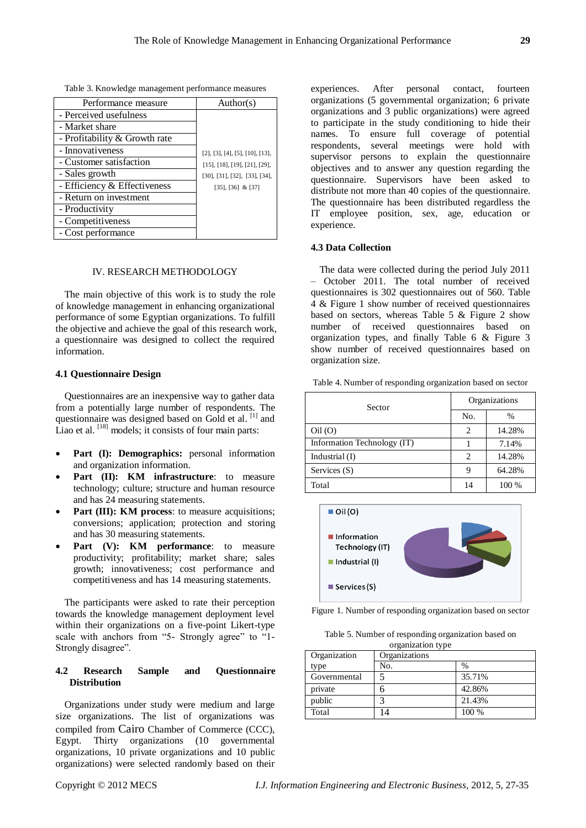|  | Table 3. Knowledge management performance measures |
|--|----------------------------------------------------|
|  |                                                    |

| Performance measure           | Author(s)                                         |
|-------------------------------|---------------------------------------------------|
| - Perceived usefulness        |                                                   |
| - Market share                |                                                   |
| - Profitability & Growth rate |                                                   |
| - Innovativeness              | $[2]$ , $[3]$ , $[4]$ , $[5]$ , $[10]$ , $[13]$ , |
| - Customer satisfaction       | $[15]$ , $[18]$ , $[19]$ , $[21]$ , $[29]$ ,      |
| - Sales growth                | [30], [31], [32], [33], [34],                     |
| - Efficiency & Effectiveness  | $[35]$ , $[36]$ & $[37]$                          |
| - Return on investment        |                                                   |
| - Productivity                |                                                   |
| - Competitiveness             |                                                   |
| - Cost performance            |                                                   |

#### IV. RESEARCH METHODOLOGY

The main objective of this work is to study the role of knowledge management in enhancing organizational performance of some Egyptian organizations. To fulfill the objective and achieve the goal of this research work, a questionnaire was designed to collect the required information.

#### **4.1 Questionnaire Design**

Questionnaires are an inexpensive way to gather data from a potentially large number of respondents. The questionnaire was designed based on Gold et al. <sup>[1]</sup> and Liao et al. [18] models; it consists of four main parts:

- **Part (I): Demographics:** personal information and organization information.
- Part (II): **KM** infrastructure: to measure technology; culture; structure and human resource and has 24 measuring statements.
- **Part (III): KM process:** to measure acquisitions; conversions; application; protection and storing and has 30 measuring statements.
- **Part (V): KM performance:** to measure productivity; profitability; market share; sales growth; innovativeness; cost performance and competitiveness and has 14 measuring statements.

The participants were asked to rate their perception towards the knowledge management deployment level within their organizations on a five-point Likert-type scale with anchors from "5- Strongly agree" to "1-Strongly disagree".

# **4.2 Research Sample and Questionnaire Distribution**

Organizations under study were medium and large size organizations. The list of organizations was compiled from Cairo Chamber of Commerce (CCC), Egypt. Thirty organizations (10 governmental organizations, 10 private organizations and 10 public organizations) were selected randomly based on their

experiences. After personal contact, fourteen organizations (5 governmental organization; 6 private organizations and 3 public organizations) were agreed to participate in the study conditioning to hide their names. To ensure full coverage of potential respondents, several meetings were hold with supervisor persons to explain the questionnaire objectives and to answer any question regarding the questionnaire. Supervisors have been asked to distribute not more than 40 copies of the questionnaire. The questionnaire has been distributed regardless the IT employee position, sex, age, education or experience.

# **4.3 Data Collection**

The data were collected during the period July 2011 – October 2011. The total number of received questionnaires is 302 questionnaires out of 560. Table 4 & Figure 1 show number of received questionnaires based on sectors, whereas Table 5 & Figure 2 show number of received questionnaires based on organization types, and finally Table 6 & Figure 3 show number of received questionnaires based on organization size.

Table 4. Number of responding organization based on sector

| Sector                      | Organizations |               |
|-----------------------------|---------------|---------------|
|                             | No.           | $\frac{0}{0}$ |
| Oil(O)                      | 2             | 14.28%        |
| Information Technology (IT) |               | 7.14%         |
| Industrial $(I)$            | 2             | 14.28%        |
| Services $(S)$              | 9             | 64.28%        |
| Total                       | 14            | 100 %         |



Figure 1. Number of responding organization based on sector

Table 5. Number of responding organization based on organization type

| Organization | Organizations |        |
|--------------|---------------|--------|
| type         | No.           | $\%$   |
| Governmental |               | 35.71% |
| private      |               | 42.86% |
| public       | ◠             | 21.43% |
| Total        | 4             | 100 %  |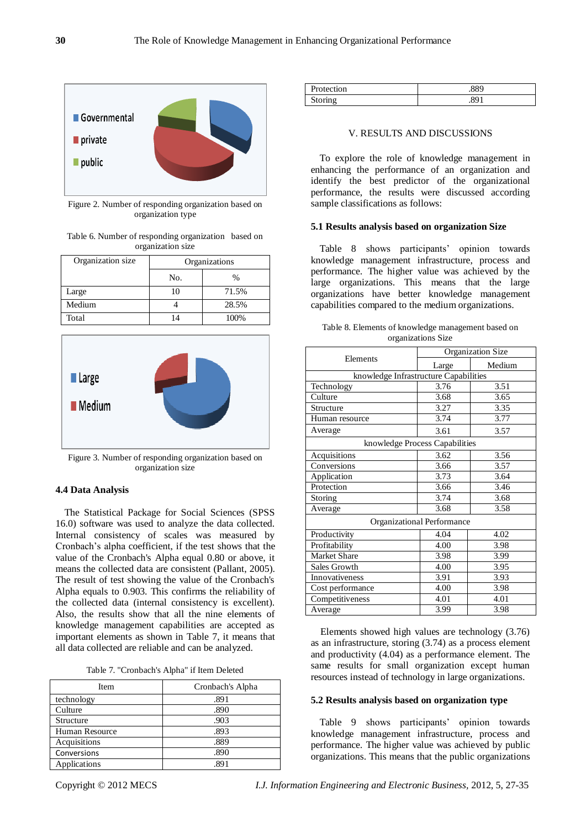

Figure 2. Number of responding organization based on organization type

Table 6. Number of responding organization based on organization size

| Organization size | Organizations |       |
|-------------------|---------------|-------|
|                   | No.           | $\%$  |
| Large             |               | 71.5% |
| Medium            |               | 28.5% |
| Total             |               | 100%  |



Figure 3. Number of responding organization based on organization size

# **4.4 Data Analysis**

The Statistical Package for Social Sciences (SPSS 16.0) software was used to analyze the data collected. Internal consistency of scales was measured by Cronbach's alpha coefficient, if the test shows that the value of the Cronbach's Alpha equal 0.80 or above, it means the collected data are consistent (Pallant, 2005). The result of test showing the value of the Cronbach's Alpha equals to 0.903. This confirms the reliability of the collected data (internal consistency is excellent). Also, the results show that all the nine elements of knowledge management capabilities are accepted as important elements as shown in Table 7, it means that all data collected are reliable and can be analyzed.

| Item           | Cronbach's Alpha |  |
|----------------|------------------|--|
| technology     | .891             |  |
| Culture        | .890             |  |
| Structure      | .903             |  |
| Human Resource | .893             |  |
| Acquisitions   | .889             |  |
| Conversions    | .890             |  |
| Applications   | 891              |  |

| Protection | .∪∪  |  |
|------------|------|--|
| rın o      | QΩ   |  |
| willie     | ر ن. |  |

#### V. RESULTS AND DISCUSSIONS

To explore the role of knowledge management in enhancing the performance of an organization and identify the best predictor of the organizational performance, the results were discussed according sample classifications as follows:

#### **5.1 Results analysis based on organization Size**

Table 8 shows participants' opinion towards knowledge management infrastructure, process and performance. The higher value was achieved by the large organizations. This means that the large organizations have better knowledge management capabilities compared to the medium organizations.

|                                       | Organization Size |        |  |  |
|---------------------------------------|-------------------|--------|--|--|
| Elements                              | Large             | Medium |  |  |
| knowledge Infrastructure Capabilities |                   |        |  |  |
| Technology                            | 3.76              | 3.51   |  |  |
| Culture                               | 3.68              | 3.65   |  |  |
| Structure                             | 3.27              | 3.35   |  |  |
| Human resource                        | 3.74              | 3.77   |  |  |
| Average                               | 3.61              | 3.57   |  |  |
| knowledge Process Capabilities        |                   |        |  |  |
| Acquisitions                          | 3.62              | 3.56   |  |  |
| Conversions                           | 3.66              | 3.57   |  |  |
| Application                           | 3.73              | 3.64   |  |  |
| Protection                            | 3.66              | 3.46   |  |  |
| Storing                               | 3.74              | 3.68   |  |  |
| Average                               | 3.68              | 3.58   |  |  |
| Organizational Performance            |                   |        |  |  |
| Productivity                          | 4.04              | 4.02   |  |  |
| Profitability                         | 4.00              | 3.98   |  |  |
| Market Share                          | 3.98              | 3.99   |  |  |
| Sales Growth                          | 4.00              | 3.95   |  |  |
| Innovativeness                        | 3.91              | 3.93   |  |  |
| Cost performance                      | 4.00              | 3.98   |  |  |
| Competitiveness                       | 4.01              | 4.01   |  |  |
| Average                               | 3.99              | 3.98   |  |  |

Table 8. Elements of knowledge management based on organizations Size

Elements showed high values are technology (3.76) as an infrastructure, storing (3.74) as a process element and productivity (4.04) as a performance element. The same results for small organization except human resources instead of technology in large organizations.

#### **5.2 Results analysis based on organization type**

Table 9 shows participants' opinion towards knowledge management infrastructure, process and performance. The higher value was achieved by public organizations. This means that the public organizations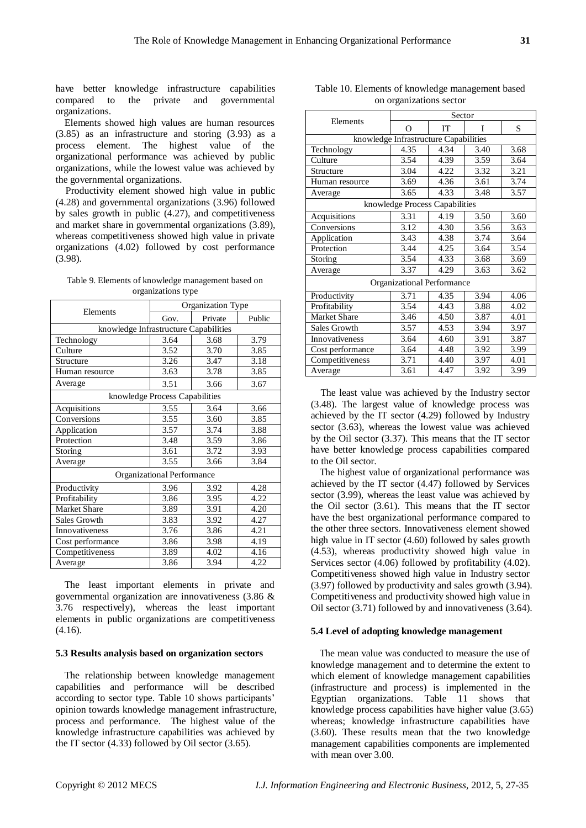have better knowledge infrastructure capabilities<br>compared to the private and governmental compared to the private and organizations.

Elements showed high values are human resources (3.85) as an infrastructure and storing (3.93) as a process element. The highest value of the organizational performance was achieved by public organizations, while the lowest value was achieved by the governmental organizations.

Productivity element showed high value in public (4.28) and governmental organizations (3.96) followed by sales growth in public (4.27), and competitiveness and market share in governmental organizations (3.89), whereas competitiveness showed high value in private organizations (4.02) followed by cost performance (3.98).

Table 9. Elements of knowledge management based on organizations type

|                                       | Organization Type              |         |        |  |  |
|---------------------------------------|--------------------------------|---------|--------|--|--|
| Elements                              | Gov.                           | Private | Public |  |  |
| knowledge Infrastructure Capabilities |                                |         |        |  |  |
| Technology                            | 3.64                           | 3.68    | 3.79   |  |  |
| Culture                               | 3.52                           | 3.70    | 3.85   |  |  |
| Structure                             | 3.26                           | 3.47    | 3.18   |  |  |
| Human resource                        | 3.63                           | 3.78    | 3.85   |  |  |
| Average                               | 3.51                           | 3.66    | 3.67   |  |  |
|                                       | knowledge Process Capabilities |         |        |  |  |
| Acquisitions                          | 3.55                           | 3.64    | 3.66   |  |  |
| Conversions                           | 3.55                           | 3.60    | 3.85   |  |  |
| Application                           | 3.57                           | 3.74    | 3.88   |  |  |
| Protection                            | 3.48                           | 3.59    | 3.86   |  |  |
| Storing                               | 3.61                           | 3.72    | 3.93   |  |  |
| Average                               | 3.55                           | 3.66    | 3.84   |  |  |
| Organizational Performance            |                                |         |        |  |  |
| Productivity                          | 3.96                           | 3.92    | 4.28   |  |  |
| Profitability                         | 3.86                           | 3.95    | 4.22   |  |  |
| <b>Market Share</b>                   | 3.89                           | 3.91    | 4.20   |  |  |
| Sales Growth                          | 3.83                           | 3.92    | 4.27   |  |  |
| Innovativeness                        | 3.76                           | 3.86    | 4.21   |  |  |
| Cost performance                      | 3.86                           | 3.98    | 4.19   |  |  |
| Competitiveness                       | 3.89                           | 4.02    | 4.16   |  |  |
| Average                               | 3.86                           | 3.94    | 4.22   |  |  |

The least important elements in private and governmental organization are innovativeness (3.86 & 3.76 respectively), whereas the least important elements in public organizations are competitiveness (4.16).

#### **5.3 Results analysis based on organization sectors**

The relationship between knowledge management capabilities and performance will be described according to sector type. Table 10 shows participants' opinion towards knowledge management infrastructure, process and performance. The highest value of the knowledge infrastructure capabilities was achieved by the IT sector (4.33) followed by Oil sector (3.65).

|                     | Sector                                |      |      |      |  |
|---------------------|---------------------------------------|------|------|------|--|
| Elements            | $\Omega$                              | IT   | T    | S    |  |
|                     | knowledge Infrastructure Capabilities |      |      |      |  |
| Technology          | 4.35                                  | 4.34 | 3.40 | 3.68 |  |
| Culture             | 3.54                                  | 4.39 | 3.59 | 3.64 |  |
| Structure           | 3.04                                  | 4.22 | 3.32 | 3.21 |  |
| Human resource      | 3.69                                  | 4.36 | 3.61 | 3.74 |  |
| Average             | 3.65                                  | 4.33 | 3.48 | 3.57 |  |
|                     | knowledge Process Capabilities        |      |      |      |  |
| Acquisitions        | 3.31                                  | 4.19 | 3.50 | 3.60 |  |
| Conversions         | 3.12                                  | 4.30 | 3.56 | 3.63 |  |
| Application         | 3.43                                  | 4.38 | 3.74 | 3.64 |  |
| Protection          | 3.44                                  | 4.25 | 3.64 | 3.54 |  |
| Storing             | 3.54                                  | 4.33 | 3.68 | 3.69 |  |
| Average             | 3.37                                  | 4.29 | 3.63 | 3.62 |  |
|                     | Organizational Performance            |      |      |      |  |
| Productivity        | 3.71                                  | 4.35 | 3.94 | 4.06 |  |
| Profitability       | 3.54                                  | 4.43 | 3.88 | 4.02 |  |
| <b>Market Share</b> | 3.46                                  | 4.50 | 3.87 | 4.01 |  |
| Sales Growth        | 3.57                                  | 4.53 | 3.94 | 3.97 |  |
| Innovativeness      | 3.64                                  | 4.60 | 3.91 | 3.87 |  |
| Cost performance    | 3.64                                  | 4.48 | 3.92 | 3.99 |  |
| Competitiveness     | 3.71                                  | 4.40 | 3.97 | 4.01 |  |
| Average             | 3.61                                  | 4.47 | 3.92 | 3.99 |  |

Table 10. Elements of knowledge management based on organizations sector

The least value was achieved by the Industry sector (3.48). The largest value of knowledge process was achieved by the IT sector (4.29) followed by Industry sector (3.63), whereas the lowest value was achieved by the Oil sector (3.37). This means that the IT sector have better knowledge process capabilities compared to the Oil sector.

The highest value of organizational performance was achieved by the IT sector (4.47) followed by Services sector (3.99), whereas the least value was achieved by the Oil sector (3.61). This means that the IT sector have the best organizational performance compared to the other three sectors. Innovativeness element showed high value in IT sector (4.60) followed by sales growth (4.53), whereas productivity showed high value in Services sector (4.06) followed by profitability (4.02). Competitiveness showed high value in Industry sector (3.97) followed by productivity and sales growth (3.94). Competitiveness and productivity showed high value in Oil sector (3.71) followed by and innovativeness (3.64).

#### **5.4 Level of adopting knowledge management**

The mean value was conducted to measure the use of knowledge management and to determine the extent to which element of knowledge management capabilities (infrastructure and process) is implemented in the Egyptian organizations. Table 11 shows that knowledge process capabilities have higher value (3.65) whereas; knowledge infrastructure capabilities have (3.60). These results mean that the two knowledge management capabilities components are implemented with mean over 3.00.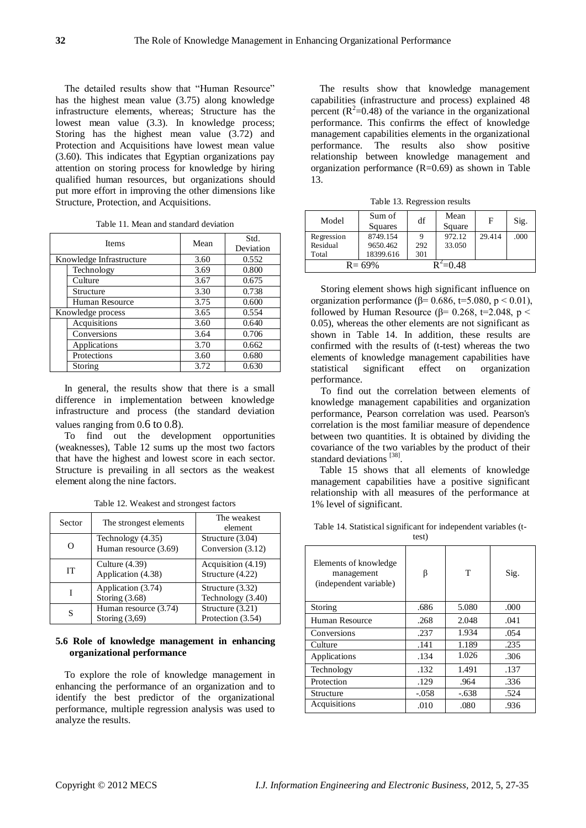The detailed results show that "Human Resource" has the highest mean value (3.75) along knowledge infrastructure elements, whereas; Structure has the lowest mean value (3.3). In knowledge process; Storing has the highest mean value (3.72) and Protection and Acquisitions have lowest mean value (3.60). This indicates that Egyptian organizations pay attention on storing process for knowledge by hiring qualified human resources, but organizations should put more effort in improving the other dimensions like Structure, Protection, and Acquisitions.

|  | Table 11. Mean and standard deviation |
|--|---------------------------------------|
|--|---------------------------------------|

| <b>Items</b>             | Mean | Std.<br>Deviation |  |
|--------------------------|------|-------------------|--|
| Knowledge Infrastructure | 3.60 | 0.552             |  |
| Technology               | 3.69 | 0.800             |  |
| Culture                  | 3.67 | 0.675             |  |
| Structure                | 3.30 | 0.738             |  |
| Human Resource           | 3.75 | 0.600             |  |
| Knowledge process        | 3.65 | 0.554             |  |
| Acquisitions             | 3.60 | 0.640             |  |
| Conversions              | 3.64 | 0.706             |  |
| Applications             | 3.70 | 0.662             |  |
| Protections              | 3.60 | 0.680             |  |
| Storing                  | 3.72 | 0.630             |  |

In general, the results show that there is a small difference in implementation between knowledge infrastructure and process (the standard deviation values ranging from 0.6 to 0.8).

To find out the development opportunities (weaknesses), Table 12 sums up the most two factors that have the highest and lowest score in each sector. Structure is prevailing in all sectors as the weakest element along the nine factors.

| Sector | The strongest elements                     | The weakest<br>element                 |
|--------|--------------------------------------------|----------------------------------------|
| Ω      | Technology (4.35)<br>Human resource (3.69) | Structure (3.04)<br>Conversion (3.12)  |
| IТ     | Culture $(4.39)$<br>Application (4.38)     | Acquisition (4.19)<br>Structure (4.22) |
|        | Application (3.74)<br>Storing $(3.68)$     | Structure (3.32)<br>Technology (3.40)  |
| S      | Human resource (3.74)<br>Storing $(3,69)$  | Structure (3.21)<br>Protection (3.54)  |

Table 12. Weakest and strongest factors

# **5.6 Role of knowledge management in enhancing organizational performance**

To explore the role of knowledge management in enhancing the performance of an organization and to identify the best predictor of the organizational performance, multiple regression analysis was used to analyze the results.

The results show that knowledge management capabilities (infrastructure and process) explained 48 percent  $(R^2=0.48)$  of the variance in the organizational performance. This confirms the effect of knowledge management capabilities elements in the organizational performance. The results also show positive relationship between knowledge management and organization performance  $(R=0.69)$  as shown in Table 13.

Table 13. Regression results

| Model      | Sum of     | df  | Mean         | F      | Sig. |
|------------|------------|-----|--------------|--------|------|
|            | Squares    |     | Square       |        |      |
| Regression | 8749.154   |     | 972.12       | 29.414 | .000 |
| Residual   | 9650.462   | 292 | 33.050       |        |      |
| Total      | 18399.616  | 301 |              |        |      |
|            | $R = 69\%$ |     | $R^2 = 0.48$ |        |      |

Storing element shows high significant influence on organization performance ( $\beta$ = 0.686, t=5.080, p < 0.01), followed by Human Resource ( $\beta$ = 0.268, t=2.048, p < 0.05), whereas the other elements are not significant as shown in Table 14. In addition, these results are confirmed with the results of (t-test) whereas the two elements of knowledge management capabilities have statistical significant effect on organization performance.

To find out the correlation between elements of knowledge management capabilities and organization performance, Pearson correlation was used. Pearson's correlation is the most familiar measure of dependence between two quantities. It is obtained by dividing the covariance of the two variables by the product of their standard deviations<sup>[38]</sup>.

Table 15 shows that all elements of knowledge management capabilities have a positive significant relationship with all measures of the performance at 1% level of significant.

Table 14. Statistical significant for independent variables (t-

test)

| Elements of knowledge<br>management<br>(independent variable) | ß       | T       | Sig. |
|---------------------------------------------------------------|---------|---------|------|
| Storing                                                       | .686    | 5.080   | .000 |
| Human Resource                                                | .268    | 2.048   | .041 |
| Conversions                                                   | .237    | 1.934   | .054 |
| Culture                                                       | .141    | 1.189   | .235 |
| Applications                                                  | .134    | 1.026   | .306 |
| Technology                                                    | .132    | 1.491   | .137 |
| Protection                                                    | .129    | .964    | .336 |
| Structure                                                     | $-.058$ | $-.638$ | .524 |
| Acquisitions                                                  | .010    | .080    | .936 |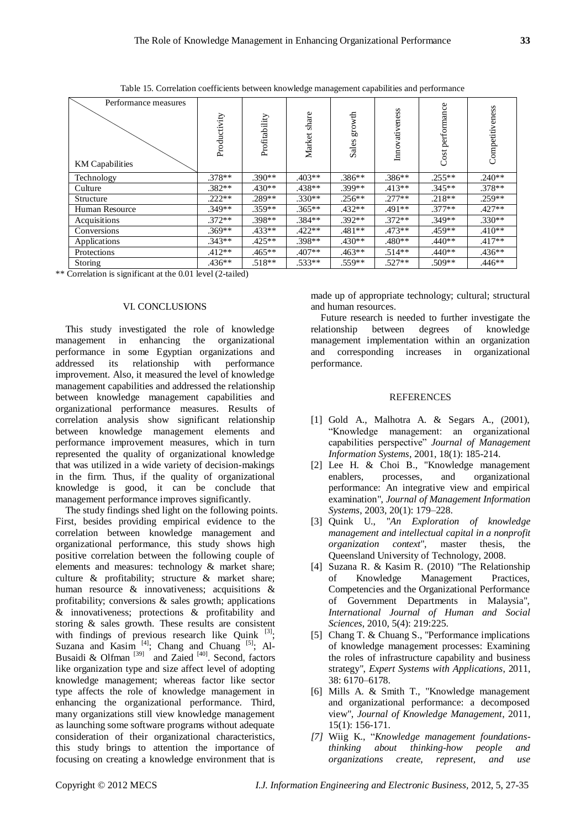Table 15. Correlation coefficients between knowledge management capabilities and performance

| Performance measures   |              |               |              |                 |                |                  | s              |
|------------------------|--------------|---------------|--------------|-----------------|----------------|------------------|----------------|
| <b>KM</b> Capabilities | Productivity | Profitability | Market share | growth<br>Sales | Innovativeness | Cost performance | Competitivenes |
| Technology             | $.378**$     | $.390**$      | $.403**$     | $.386**$        | $.386**$       | $.255**$         | $.240**$       |
| Culture                | $.382**$     | $.430**$      | $.438**$     | .399**          | $.413**$       | $.345**$         | $.378**$       |
| Structure              | $.222**$     | .289**        | $.330**$     | $.256**$        | $.277**$       | $.218**$         | $.259**$       |
| Human Resource         | .349**       | $.359**$      | $.365**$     | $.432**$        | .491**         | $.377**$         | $.427**$       |
| Acquisitions           | $.372**$     | $.398**$      | $.384**$     | $.392**$        | $.372**$       | .349**           | $.330**$       |
| Conversions            | $.369**$     | $.433**$      | $.422**$     | $.481**$        | $.473**$       | .459**           | $.410**$       |
| Applications           | $.343**$     | $.425**$      | .398**       | $.430**$        | $.480**$       | .440**           | $.417**$       |
| Protections            | $.412**$     | $.465**$      | $.407**$     | $.463**$        | $.514**$       | $.440**$         | $.436**$       |
| Storing                | $.436**$     | $.518**$      | $.533**$     | .559**          | $.527**$       | .509**           | $.446**$       |

\*\* Correlation is significant at the 0.01 level (2-tailed)

#### VI. CONCLUSIONS

This study investigated the role of knowledge management in enhancing the organizational performance in some Egyptian organizations and addressed its relationship with performance improvement. Also, it measured the level of knowledge management capabilities and addressed the relationship between knowledge management capabilities and organizational performance measures. Results of correlation analysis show significant relationship between knowledge management elements and performance improvement measures, which in turn represented the quality of organizational knowledge that was utilized in a wide variety of decision-makings in the firm. Thus, if the quality of organizational knowledge is good, it can be conclude that management performance improves significantly.

The study findings shed light on the following points. First, besides providing empirical evidence to the correlation between knowledge management and organizational performance, this study shows high positive correlation between the following couple of elements and measures: technology & market share; culture & profitability; structure & market share; human resource & innovativeness; acquisitions & profitability; conversions & sales growth; applications & innovativeness; protections & profitability and storing & sales growth. These results are consistent with findings of previous research like Quink  $[3]$ ; Suzana and Kasim  $^{[4]}$ ; Chang and Chuang  $^{[5]}$ ; Al-Busaidi & Olfman<sup>[39]</sup> and Zaied<sup>[40]</sup>. Second, factors like organization type and size affect level of adopting knowledge management; whereas factor like sector type affects the role of knowledge management in enhancing the organizational performance. Third, many organizations still view knowledge management as launching some software programs without adequate consideration of their organizational characteristics, this study brings to attention the importance of focusing on creating a knowledge environment that is

made up of appropriate technology; cultural; structural and human resources.

Future research is needed to further investigate the relationship between degrees of knowledge degrees of knowledge management implementation within an organization and corresponding increases in organizational performance.

## **REFERENCES**

- [1] Gold A., Malhotra A. & Segars A., (2001), "Knowledge management: an organizational capabilities perspective" *Journal of Management Information Systems*, 2001, 18(1): 185-214.
- [2] Lee H. & Choi B., "Knowledge management enablers, processes, and organizational performance: An integrative view and empirical examination", *Journal of Management Information Systems*, 2003, 20(1): 179–228.
- [3] Quink U., "*An Exploration of knowledge management and intellectual capital in a nonprofit organization context*", master thesis, the Queensland University of Technology, 2008.
- [4] Suzana R. & Kasim R. (2010) "The Relationship of Knowledge Management Practices, Competencies and the Organizational Performance of Government Departments in Malaysia", *International Journal of Human and Social Sciences*, 2010, 5(4): 219:225.
- [5] Chang T. & Chuang S., "Performance implications of knowledge management processes: Examining the roles of infrastructure capability and business strategy", *Expert Systems with Applications*, 2011, 38: 6170–6178.
- [6] Mills A. & Smith T., "Knowledge management and organizational performance: a decomposed view", *Journal of Knowledge Management*, 2011, 15(1): 156-171.
- *[7]* Wiig K., "*Knowledge management foundationsthinking about thinking-how people and organizations create, represent, and use*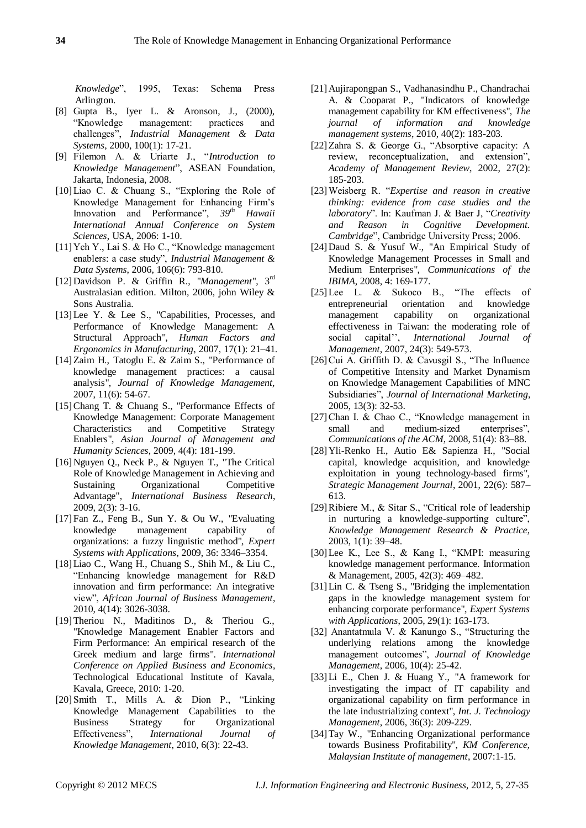*Knowledge*", 1995, Texas: Schema Press Arlington.

- [8] Gupta B., Iyer L. & Aronson, J., (2000), "Knowledge management: practices and challenges", *Industrial Management & Data Systems*, 2000, 100(1): 17-21.
- [9] Filemon A. & Uriarte J., "*Introduction to Knowledge Management*", ASEAN Foundation, Jakarta, Indonesia, 2008.
- [10]Liao C. & Chuang S., "Exploring the Role of Knowledge Management for Enhancing Firm's Innovation and Performance", *39th Hawaii International Annual Conference on System Sciences*, USA, 2006: 1-10.
- [11]Yeh Y., Lai S. & Ho C., "Knowledge management enablers: a case study", *Industrial Management & Data Systems*, 2006, 106(6): 793-810.
- [12]Davidson P. & Griffin R., "*Management*", 3rd Australasian edition. Milton, 2006, john Wiley & Sons Australia.
- [13]Lee Y. & Lee S., "Capabilities, Processes, and Performance of Knowledge Management: A Structural Approach", *Human Factors and Ergonomics in Manufacturing*, 2007, 17(1): 21–41.
- [14]Zaim H., Tatoglu E. & Zaim S., "Performance of knowledge management practices: a causal analysis", *Journal of Knowledge Management,* 2007, 11(6): 54-67.
- [15]Chang T. & Chuang S., "Performance Effects of Knowledge Management: Corporate Management Characteristics and Competitive Strategy Enablers", *Asian Journal of Management and Humanity Sciences*, 2009, 4(4): 181-199.
- [16]Nguyen Q., Neck P., & Nguyen T., "The Critical Role of Knowledge Management in Achieving and Sustaining Organizational Competitive Advantage", *International Business Research*, 2009, 2(3): 3-16.
- [17]Fan Z., Feng B., Sun Y. & Ou W., "Evaluating knowledge management capability of organizations: a fuzzy linguistic method", *Expert Systems with Applications*, 2009, 36: 3346–3354.
- [18]Liao C., Wang H., Chuang S., Shih M., & Liu C., "Enhancing knowledge management for R&D innovation and firm performance: An integrative view", *African Journal of Business Management*, 2010, 4(14): 3026-3038.
- [19]Theriou N., Maditinos D., & Theriou G., "Knowledge Management Enabler Factors and Firm Performance: An empirical research of the Greek medium and large firms". *International Conference on Applied Business and Economics*, Technological Educational Institute of Kavala, Kavala, Greece, 2010: 1-20.
- [20]Smith T., Mills A. & Dion P., "Linking Knowledge Management Capabilities to the Business Strategy for Organizational Effectiveness", *International Journal of Knowledge Management*, 2010, 6(3): 22-43.
- [21]Aujirapongpan S., Vadhanasindhu P., Chandrachai A. & Cooparat P., "Indicators of knowledge management capability for KM effectiveness", *The journal of information and knowledge management systems*, 2010, 40(2): 183-203*.*
- [22]Zahra S. & George G., "Absorptive capacity: A review, reconceptualization, and extension", *Academy of Management Review*, 2002, 27(2): 185-203.
- [23]Weisberg R. "*Expertise and reason in creative thinking: evidence from case studies and the laboratory*". In: Kaufman J. & Baer J, "*Creativity and Reason in Cognitive Development. Cambridge*", Cambridge University Press; 2006.
- [24]Daud S. & Yusuf W., "An Empirical Study of Knowledge Management Processes in Small and Medium Enterprises", *Communications of the IBIMA*, 2008, 4: 169-177.
- [25] Lee L. & Sukoco B., "The effects of entrepreneurial orientation and knowledge management capability on organizational effectiveness in Taiwan: the moderating role of social capital'', *International Journal of Management*, 2007, 24(3): 549-573.
- [26]Cui A. Griffith D. & Cavusgil S., "The Influence of Competitive Intensity and Market Dynamism on Knowledge Management Capabilities of MNC Subsidiaries", *Journal of International Marketing*, 2005, 13(3): 32-53.
- [27]Chan I. & Chao C., "Knowledge management in small and medium-sized enterprises", *Communications of the ACM*, 2008, 51(4): 83–88.
- [28]Yli-Renko H., Autio E& Sapienza H., "Social capital, knowledge acquisition, and knowledge exploitation in young technology-based firms", *Strategic Management Journal*, 2001, 22(6): 587– 613.
- [29]Ribiere M., & Sitar S., "Critical role of leadership in nurturing a knowledge-supporting culture", *Knowledge Management Research & Practice*, 2003, 1(1): 39–48.
- [30]Lee K., Lee S., & Kang I., "KMPI: measuring knowledge management performance. Information & Management, 2005, 42(3): 469–482.
- [31]Lin C. & Tseng S., "Bridging the implementation gaps in the knowledge management system for enhancing corporate performance", *Expert Systems with Applications*, 2005, 29(1): 163-173.
- [32] Anantatmula V. & Kanungo S., "Structuring the underlying relations among the knowledge management outcomes", *Journal of Knowledge Management*, 2006, 10(4): 25-42.
- [33]Li E., Chen J. & Huang Y., "A framework for investigating the impact of IT capability and organizational capability on firm performance in the late industrializing context", *Int. J. Technology Management*, 2006, 36(3): 209-229.
- [34]Tay W., "Enhancing Organizational performance towards Business Profitability", *KM Conference, Malaysian Institute of management*, 2007:1-15.